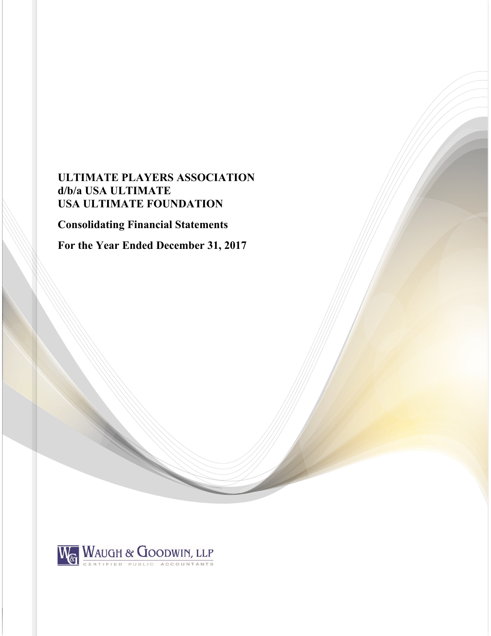# **ULTIMATE PLAYERS ASSOCIATION d/b/a USA ULTIMATE USA ULTIMATE FOUNDATION**

**Consolidating Financial Statements** 

**For the Year Ended December 31, 2017** 

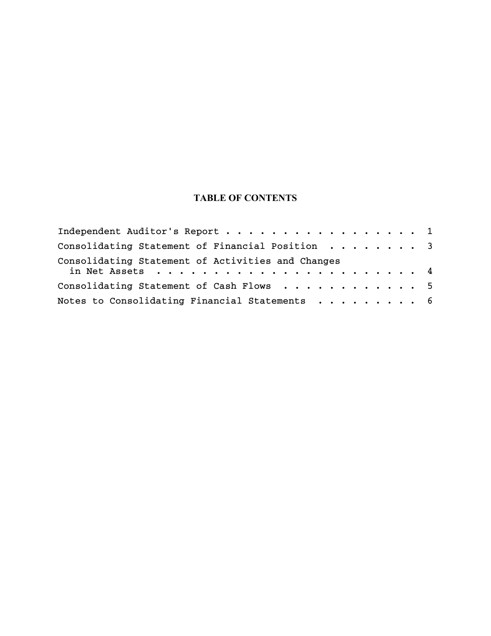# **TABLE OF CONTENTS**

| Independent Auditor's Report 1                                                                                        |  |  |  |  |  |
|-----------------------------------------------------------------------------------------------------------------------|--|--|--|--|--|
| Consolidating Statement of Financial Position 3                                                                       |  |  |  |  |  |
| Consolidating Statement of Activities and Changes<br>in Net Assets $\ldots \ldots \ldots \ldots \ldots \ldots \ldots$ |  |  |  |  |  |
| Consolidating Statement of Cash Flows 5                                                                               |  |  |  |  |  |
| Notes to Consolidating Financial Statements 6                                                                         |  |  |  |  |  |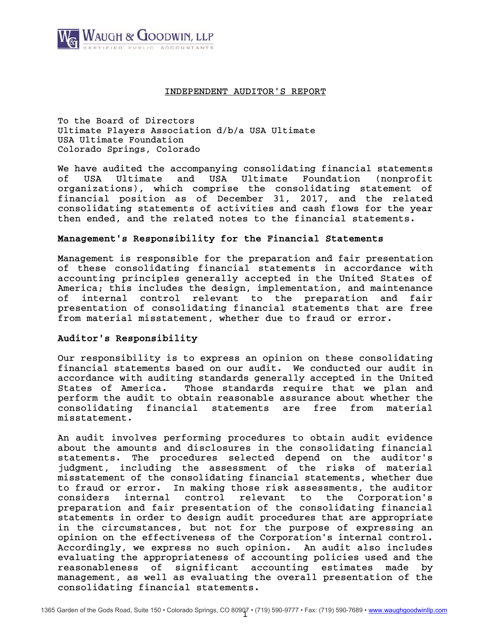

### INDEPENDENT AUDITOR'S REPORT

To the Board of Directors Ultimate Players Association d/b/a USA Ultimate USA Ultimate Foundation Colorado Springs, Colorado

We have audited the accompanying consolidating financial statements of USA Ultimate and USA Ultimate Foundation (nonprofit organizations), which comprise the consolidating statement of financial position as of December 31, 2017, and the related consolidating statements of activities and cash flows for the year then ended, and the related notes to the financial statements.

## Management's Responsibility for the Financial Statements

Management is responsible for the preparation and fair presentation of these consolidating financial statements in accordance with accounting principles generally accepted in the United States of America; this includes the design, implementation, and maintenance of internal control relevant to the preparation and fair presentation of consolidating financial statements that are free from material misstatement, whether due to fraud or error.

# Auditor's Responsibility

Our responsibility is to express an opinion on these consolidating financial statements based on our audit. We conducted our audit in accordance with auditing standards generally accepted in the United States of America. Those standards require that we plan and perform the audit to obtain reasonable assurance about whether the consolidating financial statements are free from material misstatement.

An audit involves performing procedures to obtain audit evidence about the amounts and disclosures in the consolidating financial statements. The procedures selected depend on the auditor's judgment, including the assessment of the risks of material misstatement of the consolidating financial statements, whether due to fraud or error. In making those risk assessments, the auditor considers internal control relevant to the Corporation's preparation and fair presentation of the consolidating financial statements in order to design audit procedures that are appropriate in the circumstances, but not for the purpose of expressing an opinion on the effectiveness of the Corporation's internal control. Accordingly, we express no such opinion. An audit also includes evaluating the appropriateness of accounting policies used and the reasonableness of significant accounting estimates made by management, as well as evaluating the overall presentation of the consolidating financial statements.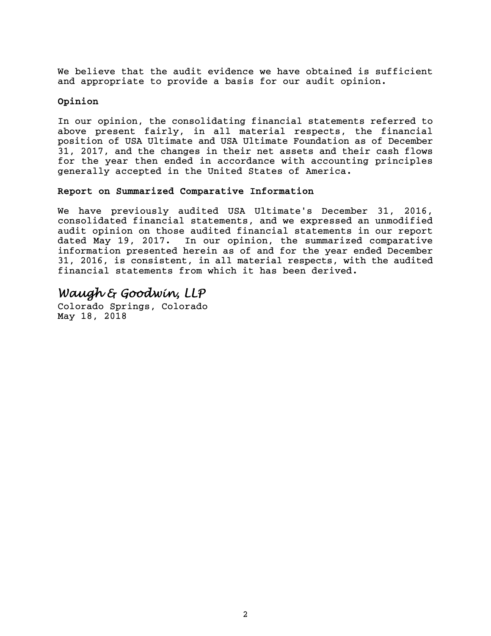We believe that the audit evidence we have obtained is sufficient and appropriate to provide a basis for our audit opinion.

# Opinion

In our opinion, the consolidating financial statements referred to above present fairly, in all material respects, the financial position of USA Ultimate and USA Ultimate Foundation as of December 31, 2017, and the changes in their net assets and their cash flows for the year then ended in accordance with accounting principles generally accepted in the United States of America.

# Report on Summarized Comparative Information

We have previously audited USA Ultimate's December 31, 2016, consolidated financial statements, and we expressed an unmodified audit opinion on those audited financial statements in our report dated May 19, 2017. In our opinion, the summarized comparative information presented herein as of and for the year ended December 31, 2016, is consistent, in all material respects, with the audited financial statements from which it has been derived.

# *Waugh & Goodwin, LLP*

Colorado Springs, Colorado May 18, 2018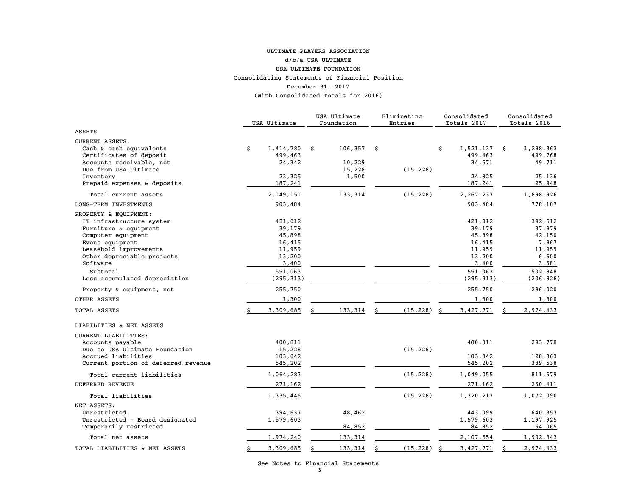#### Consolidating Statements of Financial Position December 31, 2017 (With Consolidated Totals for 2016) ULTIMATE PLAYERS ASSOCIATIONd/b/a USA ULTIMATEUSA ULTIMATE FOUNDATION

|                                           | USA Ultimate     |    | USA Ultimate<br>Foundation |      | Eliminating<br>Entries |    | Consolidated<br>Totals 2017 |   | Consolidated<br>Totals 2016 |
|-------------------------------------------|------------------|----|----------------------------|------|------------------------|----|-----------------------------|---|-----------------------------|
| <b>ASSETS</b>                             |                  |    |                            |      |                        |    |                             |   |                             |
| <b>CURRENT ASSETS:</b>                    |                  |    |                            |      |                        |    |                             |   |                             |
| Cash & cash equivalents                   | \$<br>1,414,780  | Ŝ. | 106,357                    | - \$ |                        | \$ | 1,521,137                   | Ŝ | 1,298,363                   |
| Certificates of deposit                   | 499,463          |    |                            |      |                        |    | 499,463                     |   | 499,768                     |
| Accounts receivable, net                  | 24,342           |    | 10,229                     |      |                        |    | 34,571                      |   | 49,711                      |
| Due from USA Ultimate                     |                  |    | 15,228                     |      | (15, 228)              |    |                             |   |                             |
| Inventory                                 | 23,325           |    | 1,500                      |      |                        |    | 24,825                      |   | 25,136                      |
| Prepaid expenses & deposits               | 187,241          |    |                            |      |                        |    | 187,241                     |   | 25,948                      |
| Total current assets                      | 2,149,151        |    | 133,314                    |      | (15, 228)              |    | 2, 267, 237                 |   | 1,898,926                   |
| LONG-TERM INVESTMENTS                     | 903,484          |    |                            |      |                        |    | 903,484                     |   | 778,187                     |
| PROPERTY & EQUIPMENT:                     |                  |    |                            |      |                        |    |                             |   |                             |
| IT infrastructure system                  | 421,012          |    |                            |      |                        |    | 421,012                     |   | 392,512                     |
| Furniture & equipment                     | 39,179           |    |                            |      |                        |    | 39,179                      |   | 37,979                      |
| Computer equipment                        | 45,898           |    |                            |      |                        |    | 45,898                      |   | 42,150                      |
| Event equipment<br>Leasehold improvements | 16,415<br>11,959 |    |                            |      |                        |    | 16,415<br>11,959            |   | 7,967<br>11,959             |
| Other depreciable projects                | 13,200           |    |                            |      |                        |    | 13,200                      |   | 6,600                       |
| Software                                  | 3,400            |    |                            |      |                        |    | 3,400                       |   | 3,681                       |
| Subtotal                                  | 551,063          |    |                            |      |                        |    | 551,063                     |   | 502,848                     |
| Less accumulated depreciation             | (295, 313)       |    |                            |      |                        |    | (295, 313)                  |   | (206, 828)                  |
| Property & equipment, net                 | 255,750          |    |                            |      |                        |    | 255,750                     |   | 296,020                     |
| OTHER ASSETS                              | 1,300            |    |                            |      |                        |    | 1,300                       |   | 1,300                       |
| TOTAL ASSETS                              | 3,309,685        |    | 133,314                    | \$   | (15, 228)              | Ŝ  | 3,427,771                   |   | 2,974,433                   |
| LIABILITIES & NET ASSETS                  |                  |    |                            |      |                        |    |                             |   |                             |
| CURRENT LIABILITIES:                      |                  |    |                            |      |                        |    |                             |   |                             |
| Accounts payable                          | 400,811          |    |                            |      |                        |    | 400,811                     |   | 293,778                     |
| Due to USA Ultimate Foundation            | 15,228           |    |                            |      | (15, 228)              |    |                             |   |                             |
| Accrued liabilities                       | 103,042          |    |                            |      |                        |    | 103,042                     |   | 128,363                     |
| Current portion of deferred revenue       | 545,202          |    |                            |      |                        |    | 545,202                     |   | 389,538                     |
| Total current liabilities                 | 1,064,283        |    |                            |      | (15, 228)              |    | 1,049,055                   |   | 811,679                     |
| DEFERRED REVENUE                          | 271,162          |    |                            |      |                        |    | 271,162                     |   | 260,411                     |
| Total liabilities                         | 1,335,445        |    |                            |      | (15, 228)              |    | 1,320,217                   |   | 1,072,090                   |
| NET ASSETS:                               |                  |    |                            |      |                        |    |                             |   |                             |
| Unrestricted                              | 394,637          |    | 48,462                     |      |                        |    | 443,099                     |   | 640,353                     |
| Unrestricted - Board designated           | 1,579,603        |    |                            |      |                        |    | 1,579,603                   |   | 1,197,925                   |
| Temporarily restricted                    |                  |    | 84,852                     |      |                        |    | 84,852                      |   | 64,065                      |
| Total net assets                          | 1,974,240        |    | 133,314                    |      |                        |    | 2,107,554                   |   | 1,902,343                   |
| TOTAL LIABILITIES & NET ASSETS            | \$<br>3,309,685  |    | 133,314                    | Ŝ    | (15, 228)              | Ś  | 3,427,771                   |   | 2,974,433                   |

See Notes to Financial Statements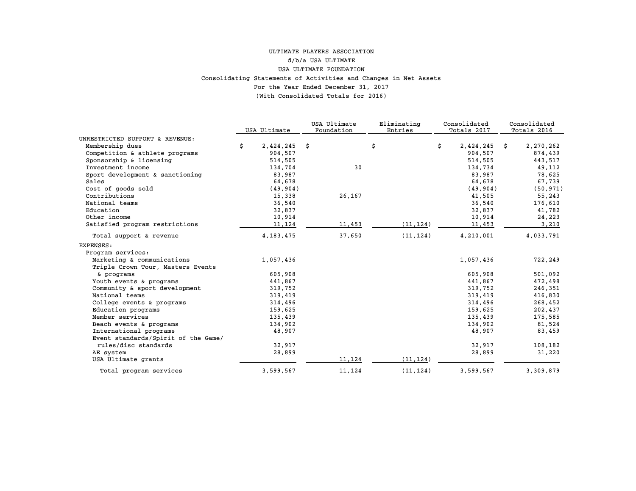#### For the Year Ended December 31, 2017 (With Consolidated Totals for 2016) Consolidating Statements of Activities and Changes in Net Assets ULTIMATE PLAYERS ASSOCIATION d/b/a USA ULTIMATE USA ULTIMATE FOUNDATION

|                                     |                 | USA Ultimate | Eliminating | Consolidated    |    | Consolidated |
|-------------------------------------|-----------------|--------------|-------------|-----------------|----|--------------|
|                                     | USA Ultimate    | Foundation   | Entries     | Totals 2017     |    | Totals 2016  |
| UNRESTRICTED SUPPORT & REVENUE:     |                 |              |             |                 |    |              |
| Membership dues                     | \$<br>2,424,245 | \$           | \$          | \$<br>2,424,245 | Ŝ. | 2,270,262    |
| Competition & athlete programs      | 904,507         |              |             | 904,507         |    | 874,439      |
| Sponsorship & licensing             | 514,505         |              |             | 514,505         |    | 443,517      |
| Investment income                   | 134,704         | 30           |             | 134,734         |    | 49,112       |
| Sport development & sanctioning     | 83,987          |              |             | 83,987          |    | 78,625       |
| Sales                               | 64,678          |              |             | 64,678          |    | 67,739       |
| Cost of goods sold                  | (49, 904)       |              |             | (49, 904)       |    | (50, 971)    |
| Contributions                       | 15,338          | 26,167       |             | 41,505          |    | 55,243       |
| National teams                      | 36,540          |              |             | 36,540          |    | 176,610      |
| Education                           | 32,837          |              |             | 32,837          |    | 41,782       |
| Other income                        | 10,914          |              |             | 10,914          |    | 24,223       |
| Satisfied program restrictions      | 11,124          | 11,453       | (11, 124)   | 11,453          |    | 3,210        |
| Total support & revenue             | 4, 183, 475     | 37,650       | (11, 124)   | 4,210,001       |    | 4,033,791    |
| <b>EXPENSES:</b>                    |                 |              |             |                 |    |              |
| Program services:                   |                 |              |             |                 |    |              |
| Marketing & communications          | 1,057,436       |              |             | 1,057,436       |    | 722,249      |
| Triple Crown Tour, Masters Events   |                 |              |             |                 |    |              |
| & programs                          | 605,908         |              |             | 605,908         |    | 501,092      |
| Youth events & programs             | 441,867         |              |             | 441,867         |    | 472,498      |
| Community & sport development       | 319,752         |              |             | 319,752         |    | 246,351      |
| National teams                      | 319,419         |              |             | 319,419         |    | 416,830      |
| College events & programs           | 314,496         |              |             | 314,496         |    | 268,452      |
| Education programs                  | 159,625         |              |             | 159,625         |    | 202,437      |
| Member services                     | 135,439         |              |             | 135,439         |    | 175,585      |
| Beach events & programs             | 134,902         |              |             | 134,902         |    | 81,524       |
| International programs              | 48,907          |              |             | 48,907          |    | 83,459       |
| Event standards/Spirit of the Game/ |                 |              |             |                 |    |              |
| rules/disc standards                | 32,917          |              |             | 32,917          |    | 108,182      |
| AE system                           | 28,899          |              |             | 28,899          |    | 31,220       |
| USA Ultimate grants                 |                 | 11,124       | (11, 124)   |                 |    |              |
| Total program services              | 3,599,567       | 11,124       | (11, 124)   | 3,599,567       |    | 3,309,879    |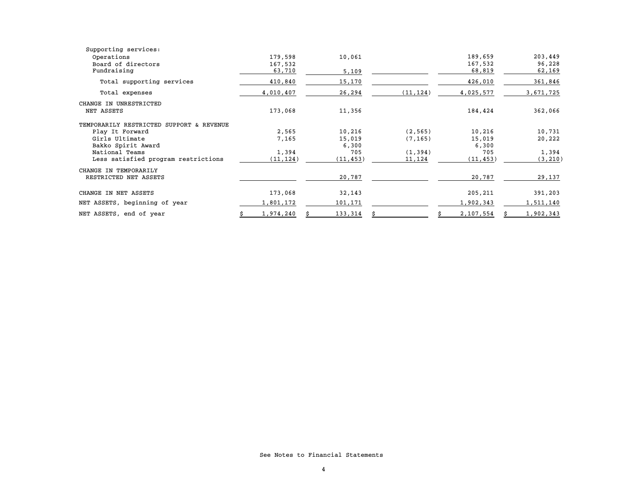| Supporting services:                     |           |           |           |           |           |
|------------------------------------------|-----------|-----------|-----------|-----------|-----------|
| Operations                               | 179,598   | 10,061    |           | 189,659   | 203,449   |
| Board of directors                       | 167,532   |           |           | 167,532   | 96,228    |
| Fundraising                              | 63,710    | 5,109     |           | 68,819    | 62,169    |
| Total supporting services                | 410,840   | 15,170    |           | 426,010   | 361,846   |
| Total expenses                           | 4,010,407 | 26,294    | (11, 124) | 4,025,577 | 3,671,725 |
| CHANGE IN UNRESTRICTED                   |           |           |           |           |           |
| NET ASSETS                               | 173,068   | 11,356    |           | 184,424   | 362,066   |
| TEMPORARILY RESTRICTED SUPPORT & REVENUE |           |           |           |           |           |
| Play It Forward                          | 2,565     | 10,216    | (2, 565)  | 10,216    | 10,731    |
| Girls Ultimate                           | 7,165     | 15,019    | (7, 165)  | 15,019    | 20,222    |
| Bakko Spirit Award                       |           | 6,300     |           | 6,300     |           |
| National Teams                           | 1,394     | 705       | (1, 394)  | 705       | 1,394     |
| Less satisfied program restrictions      | (11, 124) | (11, 453) | 11,124    | (11, 453) | (3, 210)  |
| CHANGE IN TEMPORARILY                    |           |           |           |           |           |
| RESTRICTED NET ASSETS                    |           | 20,787    |           | 20,787    | 29,137    |
| CHANGE IN NET ASSETS                     | 173,068   | 32,143    |           | 205,211   | 391,203   |
| NET ASSETS, beginning of year            | 1,801,172 | 101,171   |           | 1,902,343 | 1,511,140 |
| NET ASSETS, end of year                  | 1,974,240 | 133,314   |           | 2,107,554 | 1,902,343 |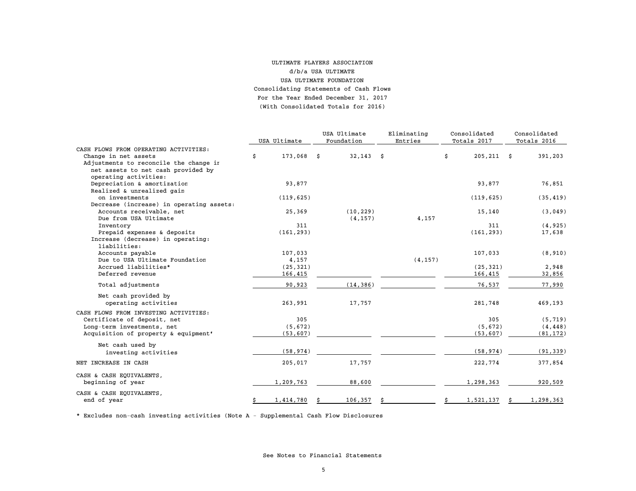#### For the Year Ended December 31, 2017 (With Consolidated Totals for 2016)ULTIMATE PLAYERS ASSOCIATION d/b/a USA ULTIMATEUSA ULTIMATE FOUNDATION Consolidating Statements of Cash Flows

|                                                   | USA Ultimate       | USA Ultimate<br>Foundation | Eliminating<br>Entries |          | Consolidated<br>Totals 2017 |               | Consolidated<br>Totals 2016 |           |
|---------------------------------------------------|--------------------|----------------------------|------------------------|----------|-----------------------------|---------------|-----------------------------|-----------|
| CASH FLOWS FROM OPERATING ACTIVITIES:             |                    |                            |                        |          |                             |               |                             |           |
| Change in net assets                              | \$<br>$173,068$ \$ | $32,143$ \$                |                        |          | \$                          | $205, 211$ \$ |                             | 391,203   |
| Adjustments to reconcile the change in            |                    |                            |                        |          |                             |               |                             |           |
| net assets to net cash provided by                |                    |                            |                        |          |                             |               |                             |           |
| operating activities:                             |                    |                            |                        |          |                             |               |                             |           |
| Depreciation & amortization                       | 93,877             |                            |                        |          |                             | 93,877        |                             | 76,851    |
| Realized & unrealized gain                        |                    |                            |                        |          |                             |               |                             |           |
| on investments                                    | (119, 625)         |                            |                        |          |                             | (119, 625)    |                             | (35, 419) |
| Decrease (increase) in operating assets:          |                    |                            |                        |          |                             |               |                             |           |
| Accounts receivable, net                          | 25,369             | (10, 229)                  |                        |          |                             | 15,140        |                             | (3,049)   |
| Due from USA Ultimate                             |                    | (4, 157)                   |                        | 4,157    |                             |               |                             |           |
| Inventory                                         | 311                |                            |                        |          |                             | 311           |                             | (4, 925)  |
| Prepaid expenses & deposits                       | (161, 293)         |                            |                        |          |                             | (161, 293)    |                             | 17,638    |
| Increase (decrease) in operating:<br>liabilities: |                    |                            |                        |          |                             |               |                             |           |
| Accounts payable                                  | 107,033            |                            |                        |          |                             | 107,033       |                             | (8, 910)  |
| Due to USA Ultimate Foundation                    | 4,157              |                            |                        | (4, 157) |                             |               |                             |           |
| Accrued liabilities*                              | (25, 321)          |                            |                        |          |                             | (25, 321)     |                             | 2,948     |
| Deferred revenue                                  | 166,415            |                            |                        |          |                             | 166,415       |                             | 32,856    |
| Total adjustments                                 | 90,923             | (14, 386)                  |                        |          |                             | 76,537        |                             | 77,990    |
| Net cash provided by                              |                    |                            |                        |          |                             |               |                             |           |
| operating activities                              | 263,991            | 17,757                     |                        |          |                             | 281,748       |                             | 469,193   |
| CASH FLOWS FROM INVESTING ACTIVITIES:             |                    |                            |                        |          |                             |               |                             |           |
| Certificate of deposit, net                       | 305                |                            |                        |          |                             | 305           |                             | (5, 719)  |
| Long-term investments, net                        | (5, 672)           |                            |                        |          |                             | (5, 672)      |                             | (4, 448)  |
| Acquisition of property & equipment'              | (53, 607)          |                            |                        |          |                             | (53, 607)     |                             | (81, 172) |
| Net cash used by                                  |                    |                            |                        |          |                             |               |                             |           |
| investing activities                              | (58, 974)          |                            |                        |          |                             | (58, 974)     |                             | (91, 339) |
| NET INCREASE IN CASH                              | 205,017            | 17,757                     |                        |          |                             | 222,774       |                             | 377,854   |
| CASH & CASH EQUIVALENTS,                          |                    |                            |                        |          |                             |               |                             |           |
| beginning of year                                 | 1,209,763          | 88,600                     |                        |          |                             | 1,298,363     |                             | 920,509   |
| CASH & CASH EQUIVALENTS,                          |                    |                            |                        |          |                             |               |                             |           |
| end of year                                       | \$<br>1,414,780    | 106,357                    |                        |          | Ŝ                           | 1,521,137     |                             | 1,298,363 |

\* Excludes non-cash investing activities (Note A - Supplemental Cash Flow Disclosures

See Notes to Financial Statements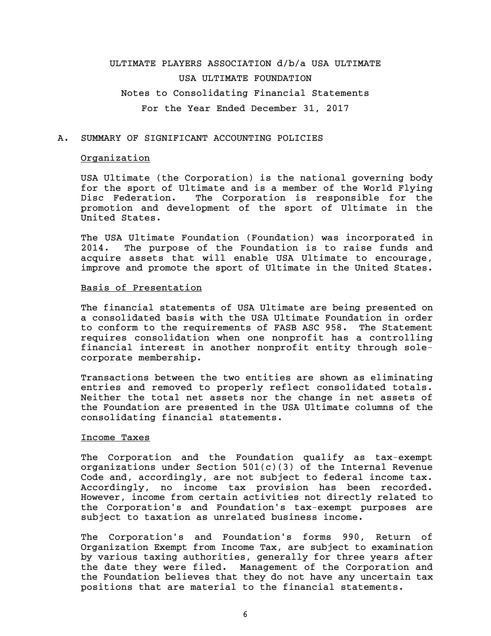# ULTIMATE PLAYERS ASSOCIATION d/b/a USA ULTIMATE USA ULTIMATE FOUNDATION Notes to Consolidating Financial Statements For the Year Ended December 31, 2017

#### A. SUMMARY OF SIGNIFICANT ACCOUNTING POLICIES

#### **Organization**

USA Ultimate (the Corporation) is the national governing body for the sport of Ultimate and is a member of the World Flying Disc Federation. The Corporation is responsible for the promotion and development of the sport of Ultimate in the United States.

The USA Ultimate Foundation (Foundation) was incorporated in 2014. The purpose of the Foundation is to raise funds and acquire assets that will enable USA Ultimate to encourage, improve and promote the sport of Ultimate in the United States.

#### Basis of Presentation

The financial statements of USA Ultimate are being presented on a consolidated basis with the USA Ultimate Foundation in order to conform to the requirements of FASB ASC 958. The Statement requires consolidation when one nonprofit has a controlling financial interest in another nonprofit entity through solecorporate membership.

Transactions between the two entities are shown as eliminating entries and removed to properly reflect consolidated totals. Neither the total net assets nor the change in net assets of the Foundation are presented in the USA Ultimate columns of the consolidating financial statements.

#### Income Taxes

The Corporation and the Foundation qualify as tax-exempt organizations under Section 501(c)(3) of the Internal Revenue Code and, accordingly, are not subject to federal income tax. Accordingly, no income tax provision has been recorded. However, income from certain activities not directly related to the Corporation's and Foundation's tax-exempt purposes are subject to taxation as unrelated business income.

The Corporation's and Foundation's forms 990, Return of Organization Exempt from Income Tax, are subject to examination by various taxing authorities, generally for three years after the date they were filed. Management of the Corporation and the Foundation believes that they do not have any uncertain tax positions that are material to the financial statements.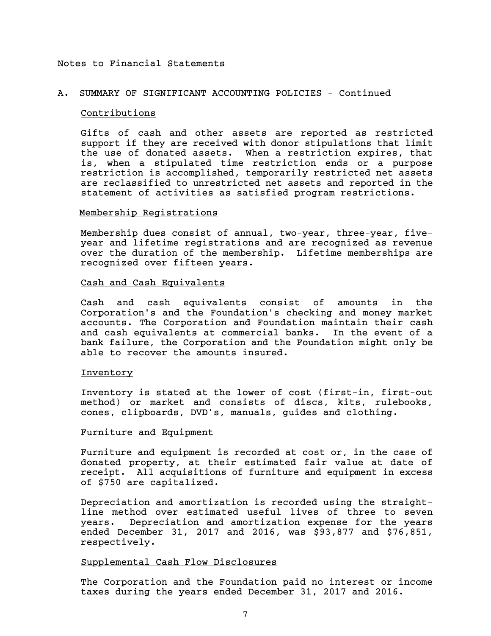## A. SUMMARY OF SIGNIFICANT ACCOUNTING POLICIES - Continued

#### Contributions

Gifts of cash and other assets are reported as restricted support if they are received with donor stipulations that limit the use of donated assets. When a restriction expires, that is, when a stipulated time restriction ends or a purpose restriction is accomplished, temporarily restricted net assets are reclassified to unrestricted net assets and reported in the statement of activities as satisfied program restrictions.

#### Membership Registrations

Membership dues consist of annual, two-year, three-year, fiveyear and lifetime registrations and are recognized as revenue over the duration of the membership. Lifetime memberships are recognized over fifteen years.

## Cash and Cash Equivalents

Cash and cash equivalents consist of amounts in the Corporation's and the Foundation's checking and money market accounts. The Corporation and Foundation maintain their cash and cash equivalents at commercial banks. In the event of a bank failure, the Corporation and the Foundation might only be able to recover the amounts insured.

#### Inventory

Inventory is stated at the lower of cost (first-in, first-out method) or market and consists of discs, kits, rulebooks, cones, clipboards, DVD's, manuals, guides and clothing.

#### Furniture and Equipment

Furniture and equipment is recorded at cost or, in the case of donated property, at their estimated fair value at date of receipt. All acquisitions of furniture and equipment in excess of \$750 are capitalized.

Depreciation and amortization is recorded using the straightline method over estimated useful lives of three to seven years. Depreciation and amortization expense for the years ended December 31, 2017 and 2016, was \$93,877 and \$76,851, respectively.

## Supplemental Cash Flow Disclosures

The Corporation and the Foundation paid no interest or income taxes during the years ended December 31, 2017 and 2016.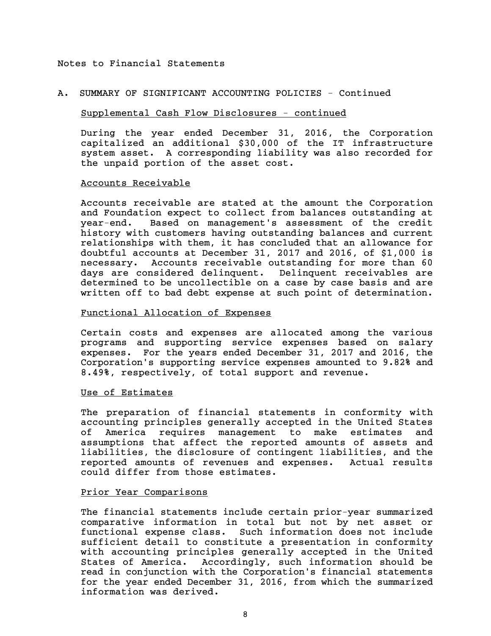#### A. SUMMARY OF SIGNIFICANT ACCOUNTING POLICIES - Continued

#### Supplemental Cash Flow Disclosures - continued

During the year ended December 31, 2016, the Corporation capitalized an additional \$30,000 of the IT infrastructure system asset. A corresponding liability was also recorded for the unpaid portion of the asset cost.

#### Accounts Receivable

Accounts receivable are stated at the amount the Corporation and Foundation expect to collect from balances outstanding at year-end. Based on management's assessment of the credit history with customers having outstanding balances and current relationships with them, it has concluded that an allowance for doubtful accounts at December 31, 2017 and 2016, of \$1,000 is necessary. Accounts receivable outstanding for more than 60 days are considered delinquent. Delinquent receivables are determined to be uncollectible on a case by case basis and are written off to bad debt expense at such point of determination.

#### Functional Allocation of Expenses

Certain costs and expenses are allocated among the various programs and supporting service expenses based on salary expenses. For the years ended December 31, 2017 and 2016, the Corporation's supporting service expenses amounted to 9.82% and 8.49%, respectively, of total support and revenue.

#### Use of Estimates

The preparation of financial statements in conformity with accounting principles generally accepted in the United States of America requires management to make estimates and assumptions that affect the reported amounts of assets and liabilities, the disclosure of contingent liabilities, and the reported amounts of revenues and expenses. Actual results could differ from those estimates.

#### Prior Year Comparisons

The financial statements include certain prior-year summarized comparative information in total but not by net asset or functional expense class. Such information does not include sufficient detail to constitute a presentation in conformity with accounting principles generally accepted in the United States of America. Accordingly, such information should be read in conjunction with the Corporation's financial statements for the year ended December 31, 2016, from which the summarized information was derived.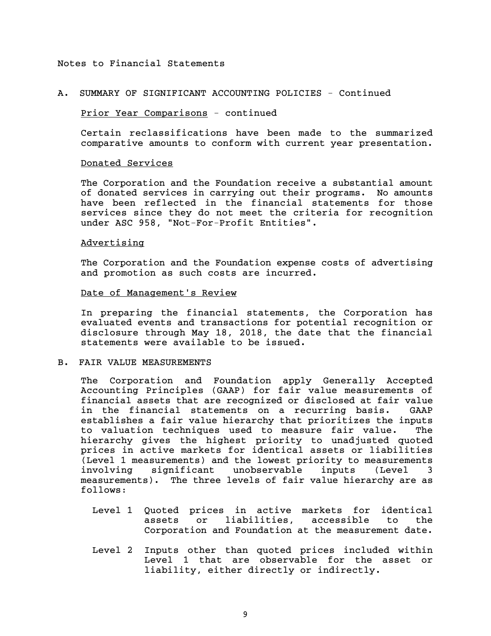#### A. SUMMARY OF SIGNIFICANT ACCOUNTING POLICIES - Continued

### Prior Year Comparisons - continued

Certain reclassifications have been made to the summarized comparative amounts to conform with current year presentation.

#### Donated Services

The Corporation and the Foundation receive a substantial amount of donated services in carrying out their programs. No amounts have been reflected in the financial statements for those services since they do not meet the criteria for recognition under ASC 958, "Not-For-Profit Entities".

### Advertising

The Corporation and the Foundation expense costs of advertising and promotion as such costs are incurred.

#### Date of Management's Review

In preparing the financial statements, the Corporation has evaluated events and transactions for potential recognition or disclosure through May 18, 2018, the date that the financial statements were available to be issued.

#### B. FAIR VALUE MEASUREMENTS

The Corporation and Foundation apply Generally Accepted Accounting Principles (GAAP) for fair value measurements of financial assets that are recognized or disclosed at fair value in the financial statements on a recurring basis. GAAP establishes a fair value hierarchy that prioritizes the inputs to valuation techniques used to measure fair value. The hierarchy gives the highest priority to unadjusted quoted prices in active markets for identical assets or liabilities (Level 1 measurements) and the lowest priority to measurements involving significant unobservable inputs (Level 3 measurements). The three levels of fair value hierarchy are as follows:

- Level 1 Quoted prices in active markets for identical assets or liabilities, accessible to the Corporation and Foundation at the measurement date.
- Level 2 Inputs other than quoted prices included within Level 1 that are observable for the asset or liability, either directly or indirectly.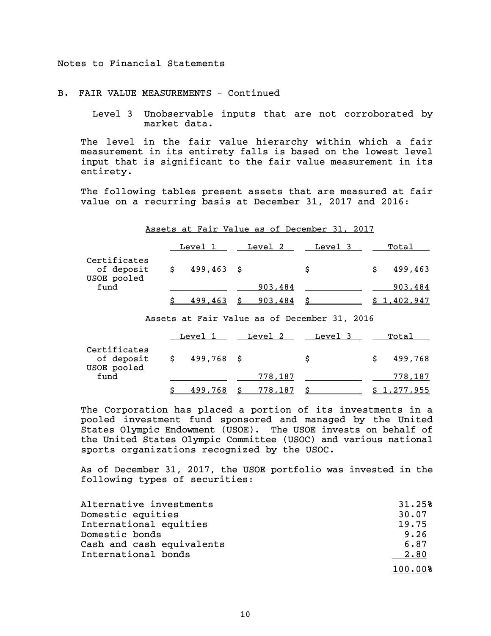#### B. FAIR VALUE MEASUREMENTS – Continued

 Level 3 Unobservable inputs that are not corroborated by market data.

The level in the fair value hierarchy within which a fair measurement in its entirety falls is based on the lowest level input that is significant to the fair value measurement in its entirety.

The following tables present assets that are measured at fair value on a recurring basis at December 31, 2017 and 2016:

|                                           |                      |           | Assets at Fair Value as of December 31, 2017 |               |
|-------------------------------------------|----------------------|-----------|----------------------------------------------|---------------|
|                                           | Level 1              |           | Level 2 Level 3                              | Total         |
| Certificates<br>of deposit<br>USOE pooled | \$499,463            |           | \$                                           | \$<br>499,463 |
| fund                                      |                      | 903,484   |                                              | 903,484       |
|                                           | \$<br><u>499,463</u> | \$903,484 | <b>\$</b>                                    | \$1,402,947   |
|                                           |                      |           | Assets at Fair Value as of December 31, 2016 |               |
|                                           |                      |           | Level 1 Level 2 Level 3                      | Total         |
| Certificates<br>of deposit<br>USOE pooled | $$499,768$ \$        |           | \$                                           | \$<br>499,768 |
| fund                                      |                      | 778,187   |                                              | 778,187       |

The Corporation has placed a portion of its investments in a pooled investment fund sponsored and managed by the United States Olympic Endowment (USOE). The USOE invests on behalf of the United States Olympic Committee (USOC) and various national sports organizations recognized by the USOC.

 $\frac{$}{5}$  499,768  $\frac{$}{5}$  778,187  $\frac{$}{5}$   $\frac{$1,277,955}{1000}$ 

As of December 31, 2017, the USOE portfolio was invested in the following types of securities:

| Alternative investments   | 31.25%  |
|---------------------------|---------|
| Domestic equities         | 30.07   |
| International equities    | 19.75   |
| Domestic bonds            | 9.26    |
| Cash and cash equivalents | 6.87    |
| International bonds       | 2.80    |
|                           | 100.00% |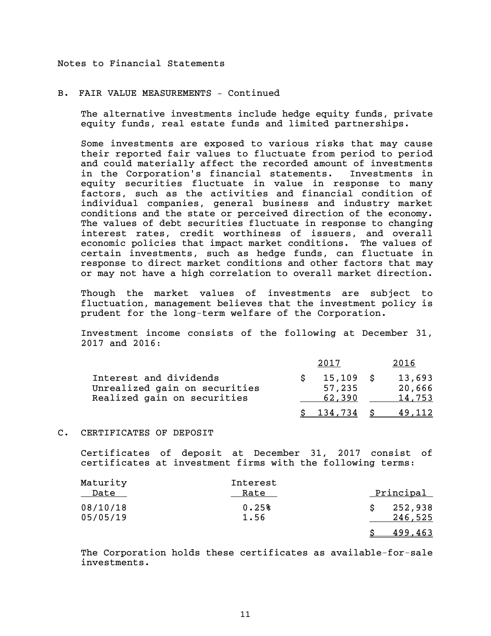B. FAIR VALUE MEASUREMENTS – Continued

The alternative investments include hedge equity funds, private equity funds, real estate funds and limited partnerships.

Some investments are exposed to various risks that may cause their reported fair values to fluctuate from period to period and could materially affect the recorded amount of investments in the Corporation's financial statements. Investments in equity securities fluctuate in value in response to many factors, such as the activities and financial condition of individual companies, general business and industry market conditions and the state or perceived direction of the economy. The values of debt securities fluctuate in response to changing interest rates, credit worthiness of issuers, and overall economic policies that impact market conditions. The values of certain investments, such as hedge funds, can fluctuate in response to direct market conditions and other factors that may or may not have a high correlation to overall market direction.

Though the market values of investments are subject to fluctuation, management believes that the investment policy is prudent for the long-term welfare of the Corporation.

Investment income consists of the following at December 31, 2017 and 2016:

|                                                                                        | 2017                            | 2016                       |
|----------------------------------------------------------------------------------------|---------------------------------|----------------------------|
| Interest and dividends<br>Unrealized gain on securities<br>Realized gain on securities | $15,109$ \$<br>57,235<br>62.390 | 13,693<br>20,666<br>14,753 |
|                                                                                        | 134.734                         | 49.112                     |

## C. CERTIFICATES OF DEPOSIT

Certificates of deposit at December 31, 2017 consist of certificates at investment firms with the following terms:

| Maturity<br>Date     | Interest<br>Rate | Principal          |
|----------------------|------------------|--------------------|
| 08/10/18<br>05/05/19 | 0.25%<br>1.56    | 252,938<br>246,525 |
|                      |                  | 499,463            |

The Corporation holds these certificates as available-for-sale investments.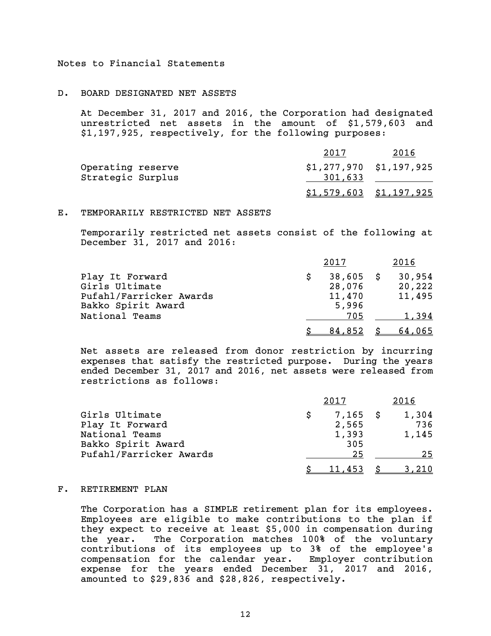#### D. BOARD DESIGNATED NET ASSETS

At December 31, 2017 and 2016, the Corporation had designated unrestricted net assets in the amount of \$1,579,603 and \$1,197,925, respectively, for the following purposes:

|                   | 2017                            | 2016 |
|-------------------|---------------------------------|------|
| Operating reserve | \$1,277,970 \$1,197,925         |      |
| Strategic Surplus | 301,633                         |      |
|                   | \$1,57 <u>9,603</u> \$1,197,925 |      |

## E. TEMPORARILY RESTRICTED NET ASSETS

Temporarily restricted net assets consist of the following at December 31, 2017 and 2016:

|                                               | 2017                  | 2016             |
|-----------------------------------------------|-----------------------|------------------|
| Play It Forward<br>Girls Ultimate             | $38,605$ \$<br>28,076 | 30,954<br>20,222 |
| Pufahl/Farricker Awards<br>Bakko Spirit Award | 11,470<br>5,996       | 11,495           |
| National Teams                                | 705                   | 1.394            |
|                                               | <u>84,852</u>         | 64,065           |

Net assets are released from donor restriction by incurring expenses that satisfy the restricted purpose. During the years ended December 31, 2017 and 2016, net assets were released from restrictions as follows:

|                         | 2017       | 2016  |
|-------------------------|------------|-------|
| Girls Ultimate          | $7,165$ \$ | 1,304 |
| Play It Forward         | 2,565      | 736   |
| National Teams          | 1,393      | 1,145 |
| Bakko Spirit Award      | 305        |       |
| Pufahl/Farricker Awards | 25         | 25    |
|                         | 11,453     |       |

#### F. RETIREMENT PLAN

The Corporation has a SIMPLE retirement plan for its employees. Employees are eligible to make contributions to the plan if they expect to receive at least \$5,000 in compensation during the year. The Corporation matches 100% of the voluntary contributions of its employees up to 3% of the employee's compensation for the calendar year. Employer contribution expense for the years ended December 31, 2017 and 2016, amounted to \$29,836 and \$28,826, respectively.